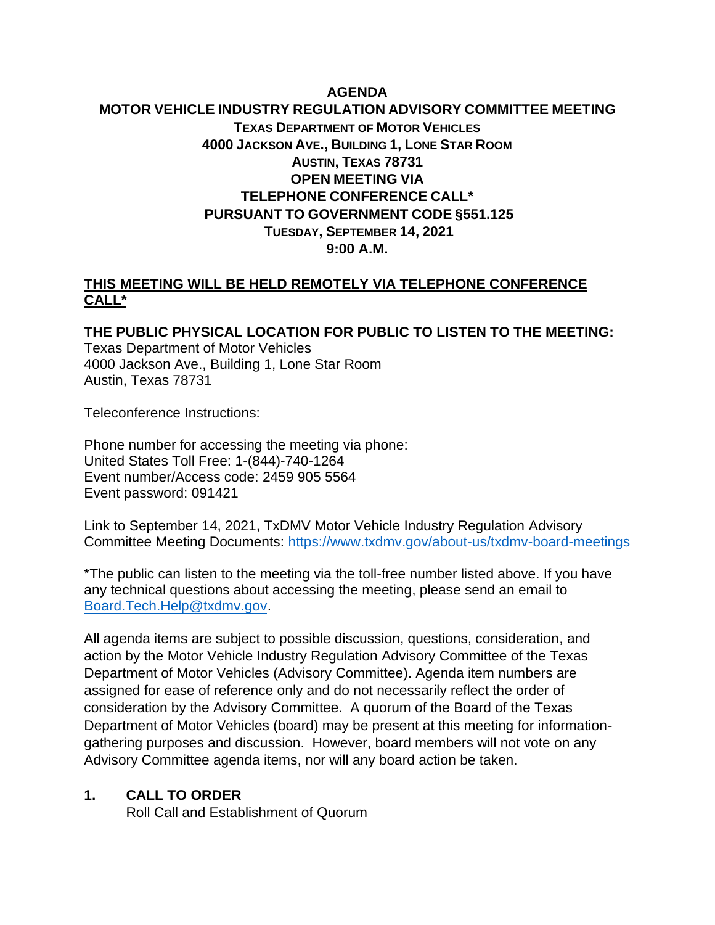## **AGENDA MOTOR VEHICLE INDUSTRY REGULATION ADVISORY COMMITTEE MEETING TEXAS DEPARTMENT OF MOTOR VEHICLES 4000 JACKSON AVE., BUILDING 1, LONE STAR ROOM AUSTIN, TEXAS 78731 OPEN MEETING VIA TELEPHONE CONFERENCE CALL\* PURSUANT TO GOVERNMENT CODE §551.125 TUESDAY, SEPTEMBER 14, 2021 9:00 A.M.**

#### **THIS MEETING WILL BE HELD REMOTELY VIA TELEPHONE CONFERENCE CALL\***

**THE PUBLIC PHYSICAL LOCATION FOR PUBLIC TO LISTEN TO THE MEETING:**  Texas Department of Motor Vehicles 4000 Jackson Ave., Building 1, Lone Star Room Austin, Texas 78731

Teleconference Instructions:

Phone number for accessing the meeting via phone: United States Toll Free: 1-(844)-740-1264 Event number/Access code: 2459 905 5564 Event password: 091421

Link to September 14, 2021, TxDMV Motor Vehicle Industry Regulation Advisory Committee Meeting Documents:<https://www.txdmv.gov/about-us/txdmv-board-meetings>

\*The public can listen to the meeting via the toll-free number listed above. If you have any technical questions about accessing the meeting, please send an email to [Board.Tech.Help@txdmv.gov.](mailto:Board.Tech.Help@txdmv.gov.)

All agenda items are subject to possible discussion, questions, consideration, and action by the Motor Vehicle Industry Regulation Advisory Committee of the Texas Department of Motor Vehicles (Advisory Committee). Agenda item numbers are assigned for ease of reference only and do not necessarily reflect the order of consideration by the Advisory Committee. A quorum of the Board of the Texas Department of Motor Vehicles (board) may be present at this meeting for informationgathering purposes and discussion. However, board members will not vote on any Advisory Committee agenda items, nor will any board action be taken.

#### **1. CALL TO ORDER**

Roll Call and Establishment of Quorum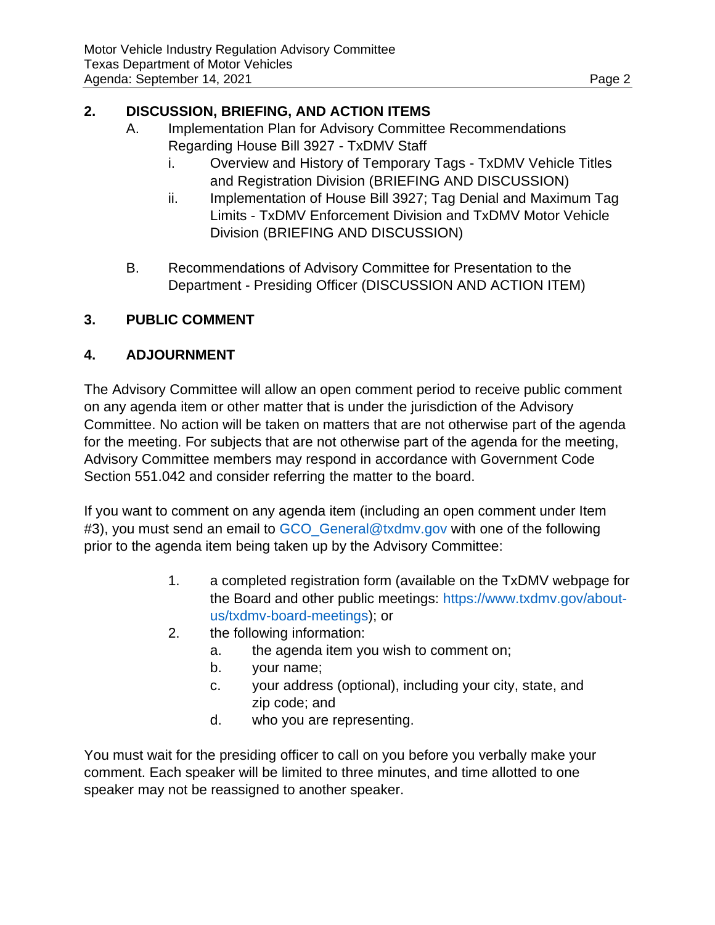## **2. DISCUSSION, BRIEFING, AND ACTION ITEMS**

- A. Implementation Plan for Advisory Committee Recommendations Regarding House Bill 3927 - TxDMV Staff
	- i. Overview and History of Temporary Tags TxDMV Vehicle Titles and Registration Division (BRIEFING AND DISCUSSION)
	- ii. Implementation of House Bill 3927; Tag Denial and Maximum Tag Limits - TxDMV Enforcement Division and TxDMV Motor Vehicle Division (BRIEFING AND DISCUSSION)
- B. Recommendations of Advisory Committee for Presentation to the Department - Presiding Officer (DISCUSSION AND ACTION ITEM)

# **3. PUBLIC COMMENT**

### **4. ADJOURNMENT**

The Advisory Committee will allow an open comment period to receive public comment on any agenda item or other matter that is under the jurisdiction of the Advisory Committee. No action will be taken on matters that are not otherwise part of the agenda for the meeting. For subjects that are not otherwise part of the agenda for the meeting, Advisory Committee members may respond in accordance with Government Code Section 551.042 and consider referring the matter to the board.

If you want to comment on any agenda item (including an open comment under Item #3), you must send an email to GCO General@txdmv.gov with one of the following prior to the agenda item being taken up by the Advisory Committee:

- 1. [a completed registration form \(available on the TxDMV webpage for](https://www.txdmv.gov/about-us/txdmv-board-meetings) the Board and other public meetings: https://www.txdmv.gov/aboutus/txdmv-board-meetings); or
- 2. the following information:
	- a. the agenda item you wish to comment on;
	- b. your name;
	- c. your address (optional), including your city, state, and zip code; and
	- d. who you are representing.

You must wait for the presiding officer to call on you before you verbally make your comment. Each speaker will be limited to three minutes, and time allotted to one speaker may not be reassigned to another speaker.